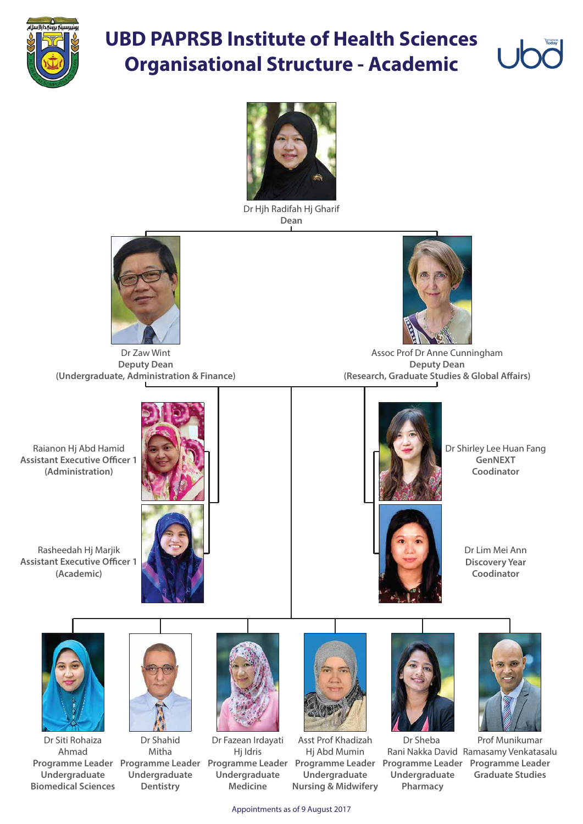

## **UBD PAPRSB Institute of Health Sciences Organisational Structure - Academic**



Appointments as of 9 August 2017

Raianon Hj Abd Hamid **Assistant Executive Officer 1 (Administration)**

Assoc Prof Dr Anne Cunningham **Deputy Dean (Research, Graduate Studies & Global Affairs)** 

Rasheedah Hj Marjik **Assistant Executive Officer 1 (Academic)**





Dr Hjh Radifah Hj Gharif **Dean**



Dr Zaw Wint **Deputy Dean (Undergraduate, Administration & Finance)**



Dr Shirley Lee Huan Fang **GenNEXT Coodinator**



Prof Munikumar Rani Nakka David Ramasamy Venkatasalu **Programme Leader Programme Leader Programme Leader Programme Leader Programme Leader Programme Leader Graduate Studies** Dr Sheba **Undergraduate Pharmacy**

Asst Prof Khadizah Hj Abd Mumin **Undergraduate Nursing & Midwifery**





Dr Shahid Mitha **Undergraduate Dentistry**

Dr Siti Rohaiza Ahmad **Undergraduate Biomedical Sciences** Dr Lim Mei Ann **Discovery Year Coodinator**





Dr Fazean Irdayati Hj Idris **Undergraduate Medicine**